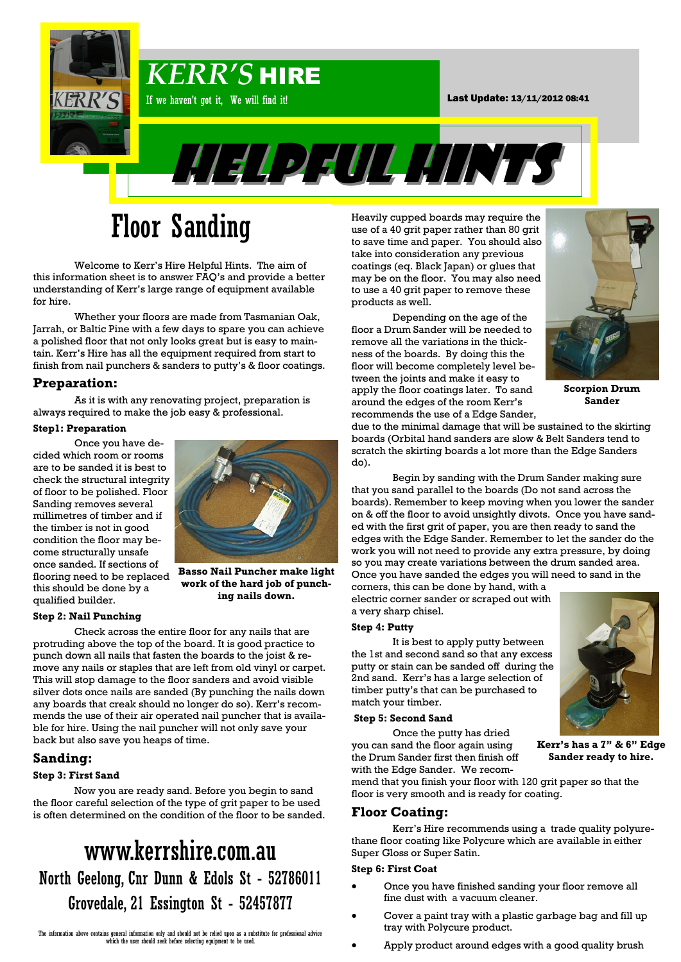

# Floor Sanding

Welcome to Kerr's Hire Helpful Hints. The aim of this information sheet is to answer FAQ's and provide a better understanding of Kerr's large range of equipment available for hire.

Whether your floors are made from Tasmanian Oak, Jarrah, or Baltic Pine with a few days to spare you can achieve a polished floor that not only looks great but is easy to maintain. Kerr's Hire has all the equipment required from start to finish from nail punchers & sanders to putty's & floor coatings.

# **Preparation:**

As it is with any renovating project, preparation is always required to make the job easy & professional.

### **Step1: Preparation**

Once you have decided which room or rooms are to be sanded it is best to check the structural integrity of floor to be polished. Floor Sanding removes several millimetres of timber and if the timber is not in good condition the floor may become structurally unsafe once sanded. If sections of flooring need to be replaced this should be done by a qualified builder.



**Basso Nail Puncher make light work of the hard job of punching nails down.**

### **Step 2: Nail Punching**

Check across the entire floor for any nails that are protruding above the top of the board. It is good practice to punch down all nails that fasten the boards to the joist & remove any nails or staples that are left from old vinyl or carpet. This will stop damage to the floor sanders and avoid visible silver dots once nails are sanded (By punching the nails down any boards that creak should no longer do so). Kerr's recommends the use of their air operated nail puncher that is available for hire. Using the nail puncher will not only save your back but also save you heaps of time.

# **Sanding:**

## **Step 3: First Sand**

Now you are ready sand. Before you begin to sand the floor careful selection of the type of grit paper to be used is often determined on the condition of the floor to be sanded.

# www.kerrshire.com.au North Geelong, Cnr Dunn & Edols St - 52786011 Grovedale, 21 Essington St - 52457877

The information above contains general information only and should not be relied upon as a substitute for professional advice which the user should seek before selecting equipment to be used.

Heavily cupped boards may require the use of a 40 grit paper rather than 80 grit to save time and paper. You should also take into consideration any previous coatings (eq. Black Japan) or glues that may be on the floor. You may also need to use a 40 grit paper to remove these products as well.

Depending on the age of the floor a Drum Sander will be needed to remove all the variations in the thickness of the boards. By doing this the floor will become completely level between the joints and make it easy to apply the floor coatings later. To sand around the edges of the room Kerr's recommends the use of a Edge Sander,



**Scorpion Drum Sander**

due to the minimal damage that will be sustained to the skirting boards (Orbital hand sanders are slow & Belt Sanders tend to scratch the skirting boards a lot more than the Edge Sanders do).

Begin by sanding with the Drum Sander making sure that you sand parallel to the boards (Do not sand across the boards). Remember to keep moving when you lower the sander on & off the floor to avoid unsightly divots. Once you have sanded with the first grit of paper, you are then ready to sand the edges with the Edge Sander. Remember to let the sander do the work you will not need to provide any extra pressure, by doing so you may create variations between the drum sanded area. Once you have sanded the edges you will need to sand in the

corners, this can be done by hand, with a electric corner sander or scraped out with a very sharp chisel.

### **Step 4: Putty**

It is best to apply putty between the 1st and second sand so that any excess putty or stain can be sanded off during the 2nd sand. Kerr's has a large selection of timber putty's that can be purchased to match your timber.

### **Step 5: Second Sand**

Once the putty has dried you can sand the floor again using the Drum Sander first then finish off with the Edge Sander. We recom-



**Kerr's has a 7" & 6" Edge Sander ready to hire.**

mend that you finish your floor with 120 grit paper so that the floor is very smooth and is ready for coating.

# **Floor Coating:**

Kerr's Hire recommends using a trade quality polyurethane floor coating like Polycure which are available in either Super Gloss or Super Satin.

### **Step 6: First Coat**

- Once you have finished sanding your floor remove all fine dust with a vacuum cleaner.
- Cover a paint tray with a plastic garbage bag and fill up tray with Polycure product.
- Apply product around edges with a good quality brush